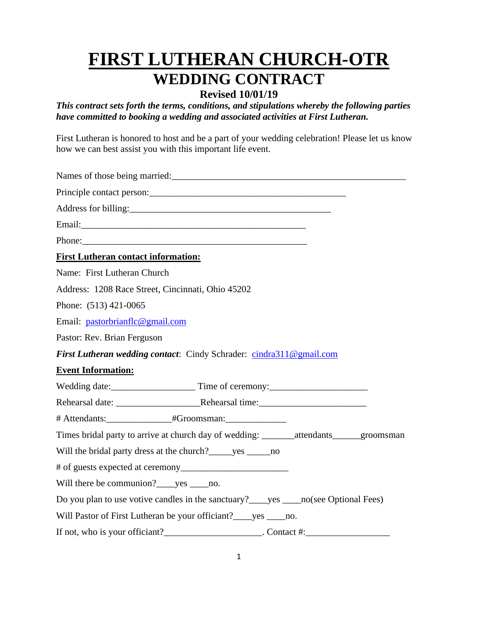# **FIRST LUTHERAN CHURCH-OTR WEDDING CONTRACT**

## **Revised 10/01/19**

*This contract sets forth the terms, conditions, and stipulations whereby the following parties have committed to booking a wedding and associated activities at First Lutheran.* 

First Lutheran is honored to host and be a part of your wedding celebration! Please let us know how we can best assist you with this important life event.

Names of those being married: Principle contact person:\_\_\_\_\_\_\_\_\_\_\_\_\_\_\_\_\_\_\_\_\_\_\_\_\_\_\_\_\_\_\_\_\_\_\_\_\_\_\_\_\_\_ Address for billing:\_\_\_\_\_\_\_\_\_\_\_\_\_\_\_\_\_\_\_\_\_\_\_\_\_\_\_\_\_\_\_\_\_\_\_\_\_\_\_\_\_\_\_ Email:\_\_\_\_\_\_\_\_\_\_\_\_\_\_\_\_\_\_\_\_\_\_\_\_\_\_\_\_\_\_\_\_\_\_\_\_\_\_\_\_\_\_\_\_\_\_\_\_ Phone: **First Lutheran contact information:** Name: First Lutheran Church Address: 1208 Race Street, Cincinnati, Ohio 45202 Phone: (513) 421-0065 Email: [pastorbrianflc@gmail.com](mailto:pastorbrianflc@gmail.com) Pastor: Rev. Brian Ferguson *First Lutheran wedding contact*: Cindy Schrader: [cindra311@gmail.com](mailto:cindra311@gmail.com) **Event Information:** Wedding date:\_\_\_\_\_\_\_\_\_\_\_\_\_\_\_\_\_\_ Time of ceremony:\_\_\_\_\_\_\_\_\_\_\_\_\_\_\_\_\_\_\_\_\_ Rehearsal date: <br>
Rehearsal time: # Attendants:  $\text{H}$  + Groomsman: Times bridal party to arrive at church day of wedding: \_\_\_\_\_\_\_\_\_\_attendants groomsman Will the bridal party dress at the church?\_\_\_\_\_yes \_\_\_\_\_\_no # of guests expected at ceremony\_\_\_\_\_\_\_\_\_\_\_\_\_\_\_\_\_\_\_\_\_\_\_ Will there be communion? \_\_\_\_yes \_\_\_\_no. Do you plan to use votive candles in the sanctuary? ves no(see Optional Fees) Will Pastor of First Lutheran be your officiant? \_\_\_\_\_yes \_\_\_\_\_\_no. If not, who is your officiant?\_\_\_\_\_\_\_\_\_\_\_\_\_\_\_\_\_\_\_\_\_. Contact #:\_\_\_\_\_\_\_\_\_\_\_\_\_\_\_\_\_\_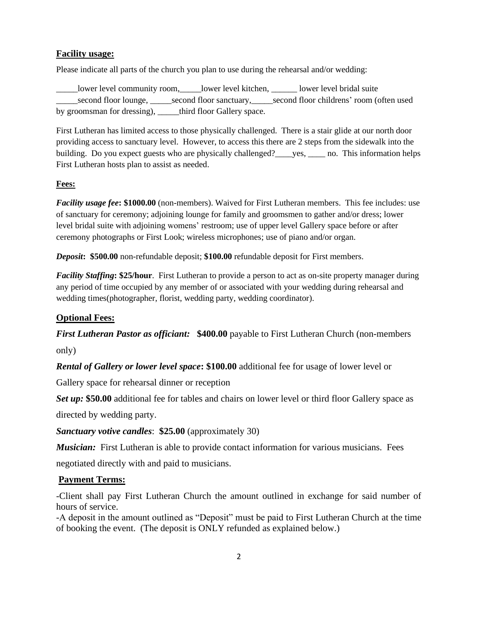#### **Facility usage:**

Please indicate all parts of the church you plan to use during the rehearsal and/or wedding:

\_\_\_\_\_lower level community room,\_\_\_\_\_lower level kitchen, \_\_\_\_\_\_ lower level bridal suite second floor lounge, second floor sanctuary, second floor childrens' room (often used by groomsman for dressing), \_\_\_\_\_third floor Gallery space.

First Lutheran has limited access to those physically challenged. There is a stair glide at our north door providing access to sanctuary level. However, to access this there are 2 steps from the sidewalk into the building. Do you expect guests who are physically challenged? \_\_\_\_yes, \_\_\_\_\_\_ no. This information helps First Lutheran hosts plan to assist as needed.

#### **Fees:**

*Facility usage fee***: \$1000.00** (non-members). Waived for First Lutheran members. This fee includes: use of sanctuary for ceremony; adjoining lounge for family and groomsmen to gather and/or dress; lower level bridal suite with adjoining womens' restroom; use of upper level Gallery space before or after ceremony photographs or First Look; wireless microphones; use of piano and/or organ.

*Deposit***: \$500.00** non-refundable deposit; **\$100.00** refundable deposit for First members.

*Facility Staffing***: \$25/hour**. First Lutheran to provide a person to act as on-site property manager during any period of time occupied by any member of or associated with your wedding during rehearsal and wedding times(photographer, florist, wedding party, wedding coordinator).

#### **Optional Fees:**

*First Lutheran Pastor as officiant:* \$400.00 payable to First Lutheran Church (non-members)

only)

*Rental of Gallery or lower level space***: \$100.00** additional fee for usage of lower level or

Gallery space for rehearsal dinner or reception

*Set up:* **\$50.00** additional fee for tables and chairs on lower level or third floor Gallery space as directed by wedding party.

*Sanctuary votive candles*: **\$25.00** (approximately 30)

*Musician:* First Lutheran is able to provide contact information for various musicians. Fees

negotiated directly with and paid to musicians.

#### **Payment Terms:**

-Client shall pay First Lutheran Church the amount outlined in exchange for said number of hours of service.

-A deposit in the amount outlined as "Deposit" must be paid to First Lutheran Church at the time of booking the event. (The deposit is ONLY refunded as explained below.)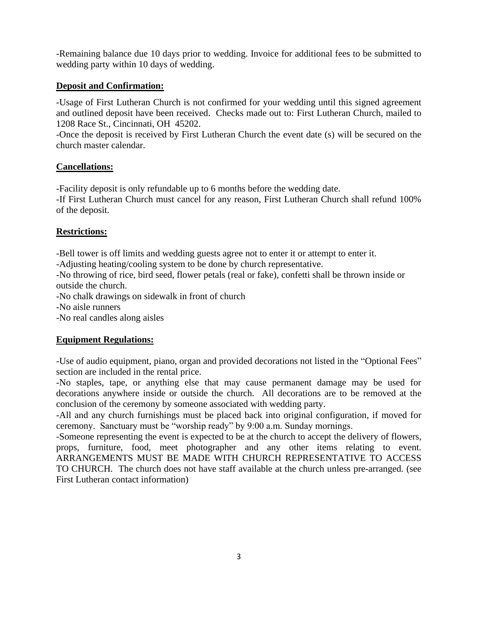-Remaining balance due 10 days prior to wedding. Invoice for additional fees to be submitted to wedding party within 10 days of wedding.

## **Deposit and Confirmation:**

-Usage of First Lutheran Church is not confirmed for your wedding until this signed agreement and outlined deposit have been received. Checks made out to: First Lutheran Church, mailed to 1208 Race St., Cincinnati, OH 45202.

-Once the deposit is received by First Lutheran Church the event date (s) will be secured on the church master calendar.

#### **Cancellations:**

-Facility deposit is only refundable up to 6 months before the wedding date.

-If First Lutheran Church must cancel for any reason, First Lutheran Church shall refund 100% of the deposit.

## **Restrictions:**

-Bell tower is off limits and wedding guests agree not to enter it or attempt to enter it.

-Adjusting heating/cooling system to be done by church representative.

-No throwing of rice, bird seed, flower petals (real or fake), confetti shall be thrown inside or outside the church.

-No chalk drawings on sidewalk in front of church

-No aisle runners

-No real candles along aisles

## **Equipment Regulations:**

-Use of audio equipment, piano, organ and provided decorations not listed in the "Optional Fees" section are included in the rental price.

-No staples, tape, or anything else that may cause permanent damage may be used for decorations anywhere inside or outside the church. All decorations are to be removed at the conclusion of the ceremony by someone associated with wedding party.

-All and any church furnishings must be placed back into original configuration, if moved for ceremony. Sanctuary must be "worship ready" by 9:00 a.m. Sunday mornings.

-Someone representing the event is expected to be at the church to accept the delivery of flowers, props, furniture, food, meet photographer and any other items relating to event. ARRANGEMENTS MUST BE MADE WITH CHURCH REPRESENTATIVE TO ACCESS TO CHURCH. The church does not have staff available at the church unless pre-arranged. (see First Lutheran contact information)